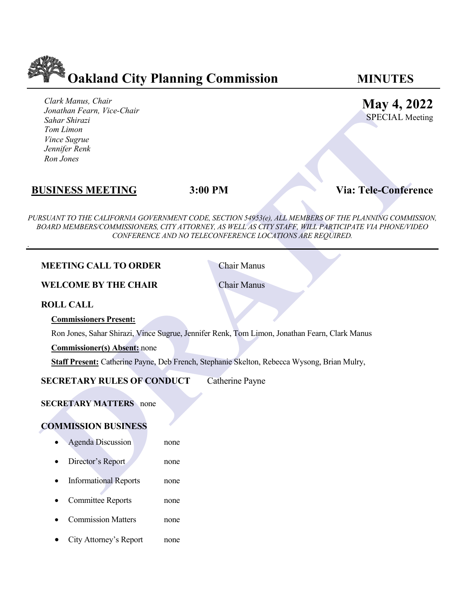

*Clark Manus, Chair Jonathan Fearn, Vice-Chair Sahar Shirazi Tom Limon Vince Sugrue Jennifer Renk Ron Jones* 

**May 4, 2022**

SPECIAL Meeting

# **BUSINESS MEETING 3:00 PM Via: Tele-Conference**

.

*PURSUANT TO THE CALIFORNIA GOVERNMENT CODE, SECTION 54953(e), ALL MEMBERS OF THE PLANNING COMMISSION, BOARD MEMBERS/COMMISSIONERS, CITY ATTORNEY, AS WELL AS CITY STAFF, WILL PARTICIPATE VIA PHONE/VIDEO CONFERENCE AND NO TELECONFERENCE LOCATIONS ARE REQUIRED.*

| Jonatnan Fearn, Vice-Chair<br>Sahar Shirazi<br>Tom Limon<br>Vince Sugrue<br>Jennifer Renk<br>Ron Jones |                                                                                               | <b>SPECIAL Meeti</b>                                                                                                                                                                                    |
|--------------------------------------------------------------------------------------------------------|-----------------------------------------------------------------------------------------------|---------------------------------------------------------------------------------------------------------------------------------------------------------------------------------------------------------|
| <b>BUSINESS MEETING</b>                                                                                | 3:00 PM                                                                                       | <b>Via: Tele-Conferen</b>                                                                                                                                                                               |
|                                                                                                        | CONFERENCE AND NO TELECONFERENCE LOCATIONS ARE REQUIRED.                                      | URSUANT TO THE CALIFORNIA GOVERNMENT CODE, SECTION 54953(e), ALL MEMBERS OF THE PLANNING COMMISSI<br>BOARD MEMBERS/COMMISSIONERS, CITY ATTORNEY, AS WELL AS CITY STAFF, WILL PARTICIPATE VIA PHONE/VIDE |
| <b>MEETING CALL TO ORDER</b>                                                                           | <b>Chair Manus</b>                                                                            |                                                                                                                                                                                                         |
| <b>WELCOME BY THE CHAIR</b>                                                                            | <b>Chair Manus</b>                                                                            |                                                                                                                                                                                                         |
| <b>ROLL CALL</b>                                                                                       |                                                                                               |                                                                                                                                                                                                         |
| <b>Commissioners Present:</b>                                                                          |                                                                                               |                                                                                                                                                                                                         |
|                                                                                                        | Ron Jones, Sahar Shirazi, Vince Sugrue, Jennifer Renk, Tom Limon, Jonathan Fearn, Clark Manus |                                                                                                                                                                                                         |
| <b>Commissioner(s) Absent:</b> none                                                                    |                                                                                               |                                                                                                                                                                                                         |
|                                                                                                        | Staff Present: Catherine Payne, Deb French, Stephanie Skelton, Rebecca Wysong, Brian Mulry,   |                                                                                                                                                                                                         |
| <b>SECRETARY RULES OF CONDUCT</b>                                                                      | <b>Catherine Payne</b>                                                                        |                                                                                                                                                                                                         |
| <b>SECRETARY MATTERS</b> none<br><b>COMMISSION BUSINESS</b>                                            |                                                                                               |                                                                                                                                                                                                         |
| <b>Agenda Discussion</b>                                                                               | none                                                                                          |                                                                                                                                                                                                         |
| Director's Report                                                                                      | none                                                                                          |                                                                                                                                                                                                         |
| <b>Informational Reports</b>                                                                           | none                                                                                          |                                                                                                                                                                                                         |
| <b>Committee Reports</b>                                                                               | none                                                                                          |                                                                                                                                                                                                         |
| <b>Commission Matters</b>                                                                              | none                                                                                          |                                                                                                                                                                                                         |

• City Attorney's Report none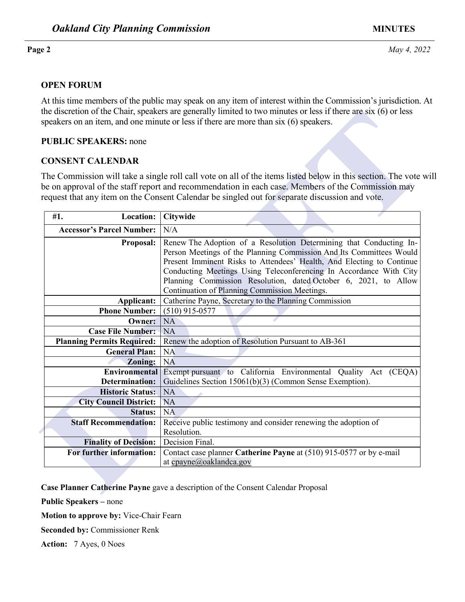### **OPEN FORUM**

At this time members of the public may speak on any item of interest within the Commission's jurisdiction. At the discretion of the Chair, speakers are generally limited to two minutes or less if there are six (6) or less speakers on an item, and one minute or less if there are more than six (6) speakers.

### **PUBLIC SPEAKERS:** none

## **CONSENT CALENDAR**

|                                               |                  | the discretion of the Chair, speakers are generally limited to two minutes or less if there are $\rm{six}$ (6) or less<br>speakers on an item, and one minute or less if there are more than six (6) speakers.                                                                                                                                                                                               |  |  |
|-----------------------------------------------|------------------|--------------------------------------------------------------------------------------------------------------------------------------------------------------------------------------------------------------------------------------------------------------------------------------------------------------------------------------------------------------------------------------------------------------|--|--|
| <b>PUBLIC SPEAKERS: none</b>                  |                  |                                                                                                                                                                                                                                                                                                                                                                                                              |  |  |
| <b>CONSENT CALENDAR</b>                       |                  |                                                                                                                                                                                                                                                                                                                                                                                                              |  |  |
|                                               |                  | The Commission will take a single roll call vote on all of the items listed below in this section. The vote v<br>be on approval of the staff report and recommendation in each case. Members of the Commission may<br>request that any item on the Consent Calendar be singled out for separate discussion and vote.                                                                                         |  |  |
| #1.                                           | <b>Location:</b> | Citywide                                                                                                                                                                                                                                                                                                                                                                                                     |  |  |
| <b>Accessor's Parcel Number:</b>              |                  | N/A                                                                                                                                                                                                                                                                                                                                                                                                          |  |  |
|                                               | Proposal:        | Renew The Adoption of a Resolution Determining that Conducting In-<br>Person Meetings of the Planning Commission And Its Committees Would<br>Present Imminent Risks to Attendees' Health, And Electing to Continue<br>Conducting Meetings Using Teleconferencing In Accordance With City<br>Planning Commission Resolution, dated October 6, 2021, to Allow<br>Continuation of Planning Commission Meetings. |  |  |
| Applicant:                                    |                  | Catherine Payne, Secretary to the Planning Commission                                                                                                                                                                                                                                                                                                                                                        |  |  |
| <b>Phone Number:</b>                          |                  | $(510)$ 915-0577                                                                                                                                                                                                                                                                                                                                                                                             |  |  |
|                                               | Owner:           | NA                                                                                                                                                                                                                                                                                                                                                                                                           |  |  |
| <b>Case File Number:</b>                      |                  | NA                                                                                                                                                                                                                                                                                                                                                                                                           |  |  |
| <b>Planning Permits Required:</b>             |                  | Renew the adoption of Resolution Pursuant to AB-361                                                                                                                                                                                                                                                                                                                                                          |  |  |
| <b>General Plan:</b>                          |                  | <b>NA</b>                                                                                                                                                                                                                                                                                                                                                                                                    |  |  |
|                                               | <b>Zoning:</b>   | NA                                                                                                                                                                                                                                                                                                                                                                                                           |  |  |
| <b>Environmental</b><br><b>Determination:</b> |                  | Exempt pursuant to California Environmental Quality Act (CEQA)<br>Guidelines Section 15061(b)(3) (Common Sense Exemption).                                                                                                                                                                                                                                                                                   |  |  |
| <b>Historic Status:</b>                       |                  | <b>NA</b>                                                                                                                                                                                                                                                                                                                                                                                                    |  |  |
| <b>City Council District:</b>                 |                  | <b>NA</b>                                                                                                                                                                                                                                                                                                                                                                                                    |  |  |
|                                               | <b>Status:</b>   | <b>NA</b>                                                                                                                                                                                                                                                                                                                                                                                                    |  |  |
| <b>Staff Recommendation:</b>                  |                  | Receive public testimony and consider renewing the adoption of<br>Resolution.                                                                                                                                                                                                                                                                                                                                |  |  |
| <b>Finality of Decision:</b>                  |                  | Decision Final.                                                                                                                                                                                                                                                                                                                                                                                              |  |  |
| For further information:                      |                  | Contact case planner Catherine Payne at (510) 915-0577 or by e-mail<br>at cpayne@oaklandca.gov                                                                                                                                                                                                                                                                                                               |  |  |
|                                               |                  | Case Planner Catherine Payne gave a description of the Consent Calendar Proposal                                                                                                                                                                                                                                                                                                                             |  |  |

**Public Speakers –** none

**Motion to approve by:** Vice-Chair Fearn

**Seconded by:** Commissioner Renk

**Action:** 7 Ayes, 0 Noes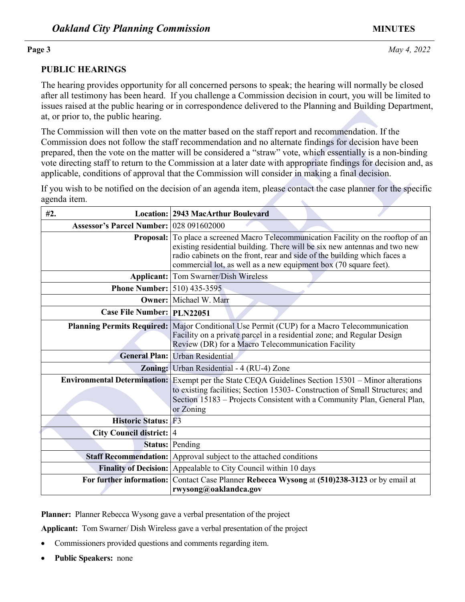## **Page 3** *May 4, 2022*

## **PUBLIC HEARINGS**

The hearing provides opportunity for all concerned persons to speak; the hearing will normally be closed after all testimony has been heard. If you challenge a Commission decision in court, you will be limited to issues raised at the public hearing or in correspondence delivered to the Planning and Building Department, at, or prior to, the public hearing.

| at, or prior to, the public hearing.           |                                                                                                                                                                                                                                                                                                                                                                                                                                                                                                                                                |  |
|------------------------------------------------|------------------------------------------------------------------------------------------------------------------------------------------------------------------------------------------------------------------------------------------------------------------------------------------------------------------------------------------------------------------------------------------------------------------------------------------------------------------------------------------------------------------------------------------------|--|
|                                                | The Commission will then vote on the matter based on the staff report and recommendation. If the<br>Commission does not follow the staff recommendation and no alternate findings for decision have been<br>prepared, then the vote on the matter will be considered a "straw" vote, which essentially is a non-binding<br>vote directing staff to return to the Commission at a later date with appropriate findings for decision and, as<br>applicable, conditions of approval that the Commission will consider in making a final decision. |  |
| agenda item.                                   | If you wish to be notified on the decision of an agenda item, please contact the case planner for the specific                                                                                                                                                                                                                                                                                                                                                                                                                                 |  |
| #2.                                            | <b>Location: 2943 MacArthur Boulevard</b>                                                                                                                                                                                                                                                                                                                                                                                                                                                                                                      |  |
| <b>Assessor's Parcel Number: 028 091602000</b> |                                                                                                                                                                                                                                                                                                                                                                                                                                                                                                                                                |  |
|                                                | Proposal: To place a screened Macro Telecommunication Facility on the rooftop of an<br>existing residential building. There will be six new antennas and two new<br>radio cabinets on the front, rear and side of the building which faces a<br>commercial lot, as well as a new equipment box (70 square feet).                                                                                                                                                                                                                               |  |
|                                                | <b>Applicant:</b> Tom Swarner/Dish Wireless                                                                                                                                                                                                                                                                                                                                                                                                                                                                                                    |  |
| <b>Phone Number:</b> 510) 435-3595             |                                                                                                                                                                                                                                                                                                                                                                                                                                                                                                                                                |  |
|                                                | <b>Owner:</b> Michael W. Marr                                                                                                                                                                                                                                                                                                                                                                                                                                                                                                                  |  |
| Case File Number: PLN22051                     |                                                                                                                                                                                                                                                                                                                                                                                                                                                                                                                                                |  |
|                                                | Planning Permits Required: Major Conditional Use Permit (CUP) for a Macro Telecommunication<br>Facility on a private parcel in a residential zone; and Regular Design<br>Review (DR) for a Macro Telecommunication Facility                                                                                                                                                                                                                                                                                                                    |  |
|                                                | General Plan: Urban Residential                                                                                                                                                                                                                                                                                                                                                                                                                                                                                                                |  |
| <b>Zoning:</b>                                 | Urban Residential - 4 (RU-4) Zone                                                                                                                                                                                                                                                                                                                                                                                                                                                                                                              |  |
|                                                | Environmental Determination: Exempt per the State CEQA Guidelines Section 15301 - Minor alterations<br>to existing facilities; Section 15303- Construction of Small Structures; and<br>Section 15183 – Projects Consistent with a Community Plan, General Plan,<br>or Zoning                                                                                                                                                                                                                                                                   |  |
| <b>Historic Status: F3</b>                     |                                                                                                                                                                                                                                                                                                                                                                                                                                                                                                                                                |  |
| City Council district: 4                       |                                                                                                                                                                                                                                                                                                                                                                                                                                                                                                                                                |  |
| Status:                                        | Pending                                                                                                                                                                                                                                                                                                                                                                                                                                                                                                                                        |  |
| <b>Staff Recommendation:</b>                   | Approval subject to the attached conditions                                                                                                                                                                                                                                                                                                                                                                                                                                                                                                    |  |
|                                                | Finality of Decision: Appealable to City Council within 10 days                                                                                                                                                                                                                                                                                                                                                                                                                                                                                |  |
|                                                | For further information: Contact Case Planner Rebecca Wysong at (510)238-3123 or by email at<br>rwysong@oaklandca.gov                                                                                                                                                                                                                                                                                                                                                                                                                          |  |

**Planner:** Planner Rebecca Wysong gave a verbal presentation of the project

**Applicant:** Tom Swarner/ Dish Wireless gave a verbal presentation of the project

- Commissioners provided questions and comments regarding item.
- **Public Speakers:** none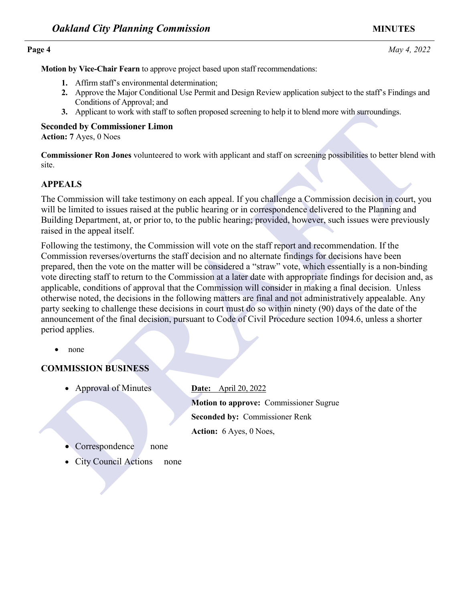**Motion by Vice-Chair Fearn** to approve project based upon staff recommendations:

- **1.** Affirm staff's environmental determination;
- **2.** Approve the Major Conditional Use Permit and Design Review application subject to the staff's Findings and Conditions of Approval; and
- **3.** Applicant to work with staff to soften proposed screening to help it to blend more with surroundings.

### **Seconded by Commissioner Limon**

**Action: 7** Ayes, 0 Noes

**Commissioner Ron Jones** volunteered to work with applicant and staff on screening possibilities to better blend with site.

## **APPEALS**

The Commission will take testimony on each appeal. If you challenge a Commission decision in court, you will be limited to issues raised at the public hearing or in correspondence delivered to the Planning and Building Department, at, or prior to, to the public hearing; provided, however, such issues were previously raised in the appeal itself.

3. Applies to work with staff to soften proposed screening to help it to bend more with surroundings.<br> **Dream Seconds by Commissions Linon**<br> **DRAFTATIS COMMISSION WEET ALT ASSOCIATE CONSTANT CONSTANT CONSTANT CONSTANT CONS** Following the testimony, the Commission will vote on the staff report and recommendation. If the Commission reverses/overturns the staff decision and no alternate findings for decisions have been prepared, then the vote on the matter will be considered a "straw" vote, which essentially is a non-binding vote directing staff to return to the Commission at a later date with appropriate findings for decision and, as applicable, conditions of approval that the Commission will consider in making a final decision. Unless otherwise noted, the decisions in the following matters are final and not administratively appealable. Any party seeking to challenge these decisions in court must do so within ninety (90) days of the date of the announcement of the final decision, pursuant to Code of Civil Procedure section 1094.6, unless a shorter period applies.

• none

## **COMMISSION BUSINESS**

• Approval of Minutes **Date:** April 20, 2022

**Motion to approve:** Commissioner Sugrue **Seconded by:** Commissioner Renk **Action:** 6 Ayes, 0 Noes,

- Correspondence none
- City Council Actions none